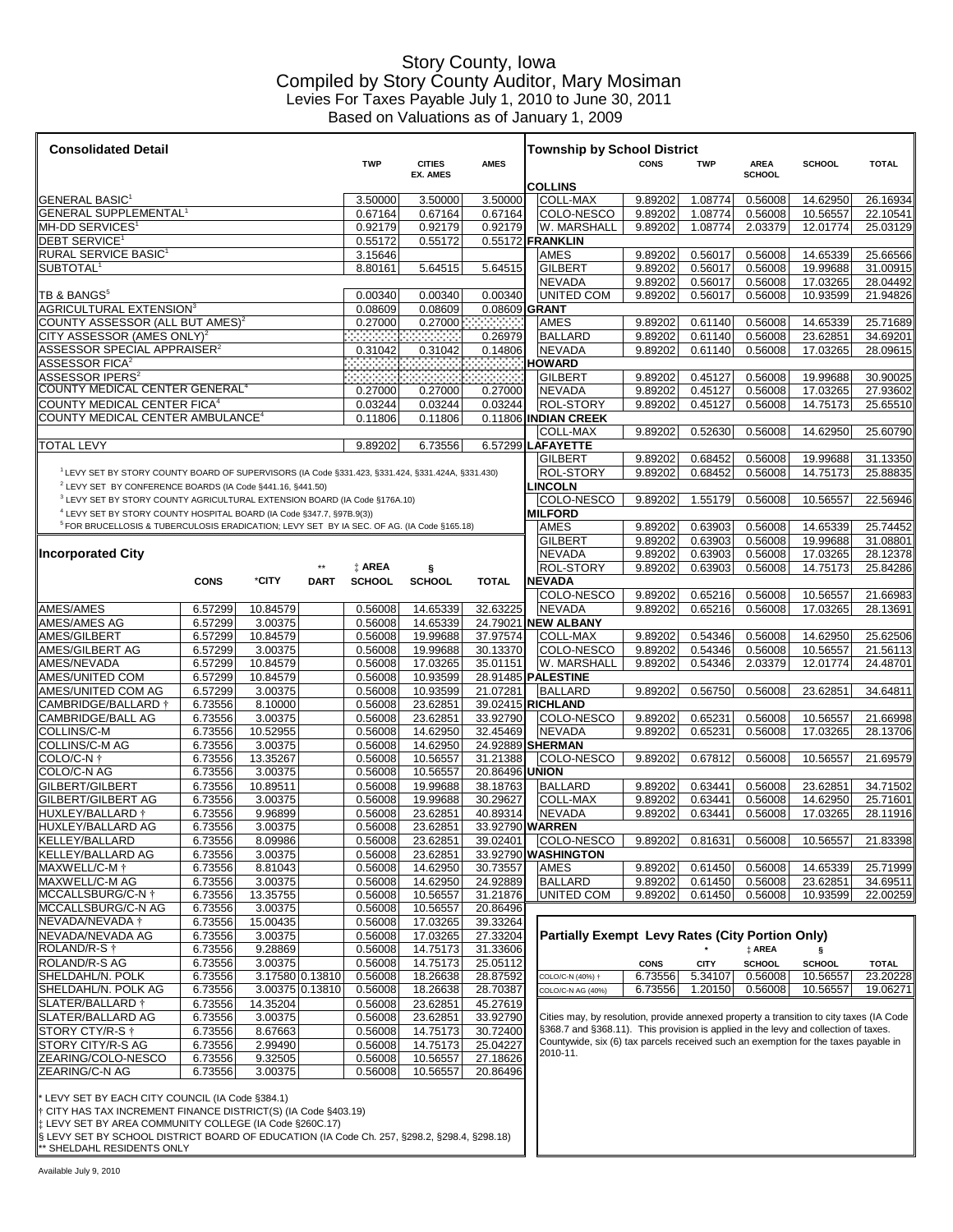## Story County, Iowa Compiled by Story County Auditor, Mary Mosiman Levies For Taxes Payable July 1, 2010 to June 30, 2011 Based on Valuations as of January 1, 2009

| <b>Consolidated Detail</b>                                                                            |                    |                     |             | <b>Township by School District</b> |                      |                      |                                                                                         |             |             |                    |               |                      |
|-------------------------------------------------------------------------------------------------------|--------------------|---------------------|-------------|------------------------------------|----------------------|----------------------|-----------------------------------------------------------------------------------------|-------------|-------------|--------------------|---------------|----------------------|
|                                                                                                       |                    |                     |             | <b>TWP</b>                         | <b>CITIES</b>        | <b>AMES</b>          |                                                                                         | <b>CONS</b> | <b>TWP</b>  | <b>AREA</b>        | <b>SCHOOL</b> | <b>TOTAL</b>         |
|                                                                                                       |                    |                     |             |                                    | <b>EX. AMES</b>      |                      |                                                                                         |             |             | <b>SCHOOL</b>      |               |                      |
| <b>GENERAL BASIC</b>                                                                                  |                    |                     |             | 3.50000                            | 3.50000              | 3.50000              | <b>COLLINS</b><br>COLL-MAX                                                              | 9.89202     | 1.08774     | 0.56008            | 14.62950      | 26.16934             |
| <b>GENERAL SUPPLEMENTAL<sup>1</sup></b>                                                               |                    |                     |             | 0.67164                            | 0.67164              | 0.67164              | COLO-NESCO                                                                              | 9.89202     | 1.08774     | 0.56008            | 10.56557      | 22.10541             |
| MH-DD SERVICES <sup>1</sup>                                                                           |                    |                     |             | 0.92179                            | 0.92179              | 0.92179              | W. MARSHALL                                                                             | 9.89202     | 1.08774     | 2.03379            | 12.01774      | 25.03129             |
| DEBT SERVICE <sup>1</sup>                                                                             |                    |                     |             | 0.55172                            | 0.55172              |                      | 0.55172 FRANKLIN                                                                        |             |             |                    |               |                      |
| <b>RURAL SERVICE BASIC1</b>                                                                           |                    |                     |             | 3.15646                            |                      |                      | <b>AMES</b>                                                                             | 9.89202     | 0.56017     | 0.56008            | 14.65339      | 25.66566             |
| SUBTOTAL <sup>®</sup>                                                                                 |                    |                     |             | 8.80161                            | 5.64515              | 5.64515              | GILBERT                                                                                 | 9.89202     | 0.56017     | 0.56008            | 19.99688      | 31.00915             |
|                                                                                                       |                    |                     |             |                                    |                      |                      | NEVADA                                                                                  | 9.89202     | 0.56017     | 0.56008            | 17.03265      | 28.04492             |
| TB & BANGS <sup>5</sup>                                                                               |                    |                     |             | 0.00340                            | 0.00340              | 0.00340              | <b>UNITED COM</b>                                                                       | 9.89202     | 0.56017     | 0.56008            | 10.93599      | 21.94826             |
| <b>AGRICULTURAL EXTENSION3</b>                                                                        |                    |                     |             | 0.08609                            | 0.08609              | 0.08609 GRANT        |                                                                                         |             |             |                    |               |                      |
| COUNTY ASSESSOR (ALL BUT AMES) <sup>2</sup>                                                           |                    |                     |             | 0.27000                            | 0.27000              |                      | <b>AMES</b>                                                                             | 9.89202     | 0.61140     | 0.56008            | 14.65339      | 25.71689             |
| CITY ASSESSOR (AMES ONLY) <sup>2</sup><br>ASSESSOR SPECIAL APPRAISER <sup>2</sup>                     |                    |                     |             |                                    |                      | 0.26979              | <b>BALLARD</b>                                                                          | 9.89202     | 0.61140     | 0.56008            | 23.62851      | 34.69201             |
| <b>ASSESSOR FICA<sup>2</sup></b>                                                                      |                    |                     |             | 0.31042<br>- - - - - - - - -       | 0.31042<br>,,,,,,,,, | 0.14806<br>3333      | <b>NEVADA</b><br><b>HOWARD</b>                                                          | 9.89202     | 0.61140     | 0.56008            | 17.03265      | 28.09615             |
| ASSESSOR IPERS <sup>2</sup>                                                                           |                    |                     |             |                                    | . <del>. .</del>     | <b>Contract</b>      | <b>GILBERT</b>                                                                          | 9.89202     | 0.45127     | 0.56008            | 19.99688      | 30.90025             |
| COUNTY MEDICAL CENTER GENERAL <sup>4</sup>                                                            |                    |                     |             | 0.27000                            | 0.27000              | 0.27000              | NEVADA                                                                                  | 9.89202     | 0.45127     | 0.56008            | 17.03265      | 27.93602             |
| <b>COUNTY MEDICAL CENTER FICA4</b>                                                                    |                    |                     |             | 0.03244                            | 0.03244              | 0.03244              | <b>ROL-STORY</b>                                                                        | 9.89202     | 0.45127     | 0.56008            | 14.75173      | 25.65510             |
| COUNTY MEDICAL CENTER AMBULANCE <sup>4</sup>                                                          |                    |                     |             | 0.11806                            | 0.11806              |                      | 0.11806 INDIAN CREEK                                                                    |             |             |                    |               |                      |
|                                                                                                       |                    |                     |             |                                    |                      |                      | <b>COLL-MAX</b>                                                                         | 9.89202     | 0.52630     | 0.56008            | 14.62950      | 25.60790             |
| <b>TOTAL LEVY</b>                                                                                     |                    |                     |             | 9.89202                            | 6.73556              | 6.57299              | <b>LAFAYETTE</b>                                                                        |             |             |                    |               |                      |
|                                                                                                       |                    |                     |             |                                    |                      |                      | <b>GILBERT</b>                                                                          | 9.89202     | 0.68452     | 0.56008            | 19.99688      | 31.13350             |
| LEVY SET BY STORY COUNTY BOARD OF SUPERVISORS (IA Code §331.423, §331.424, §331.424A, §331.430)       |                    |                     |             |                                    |                      |                      | <b>ROL-STORY</b>                                                                        | 9.89202     | 0.68452     | 0.56008            | 14.75173      | 25.88835             |
| <sup>2</sup> LEVY SET BY CONFERENCE BOARDS (IA Code §441.16, §441.50)                                 |                    |                     |             |                                    |                      |                      | <b>INCOLN</b>                                                                           |             |             |                    |               |                      |
| <sup>3</sup> LEVY SET BY STORY COUNTY AGRICULTURAL EXTENSION BOARD (IA Code §176A.10)                 |                    |                     |             |                                    |                      |                      | COLO-NESCO                                                                              | 9.89202     | 1.55179     | 0.56008            | 10.56557      | 22.56946             |
| <sup>4</sup> LEVY SET BY STORY COUNTY HOSPITAL BOARD (IA Code §347.7, §97B.9(3))                      |                    |                     |             |                                    |                      |                      | <b>MILFORD</b>                                                                          |             |             |                    |               |                      |
| <sup>5</sup> FOR BRUCELLOSIS & TUBERCULOSIS ERADICATION; LEVY SET BY IA SEC. OF AG. (IA Code §165.18) |                    |                     |             |                                    |                      |                      | AMES                                                                                    | 9.89202     | 0.63903     | 0.56008            | 14.65339      | 25.74452             |
|                                                                                                       |                    |                     |             |                                    |                      |                      | GILBERT                                                                                 | 9.89202     | 0.63903     | 0.56008            | 19.99688      | 31.08801             |
| <b>Incorporated City</b>                                                                              |                    |                     |             |                                    |                      |                      | NEVADA                                                                                  | 9.89202     | 0.63903     | 0.56008            | 17.03265      | 28.12378             |
|                                                                                                       |                    |                     |             | <b>‡ AREA</b>                      | ş                    |                      | ROL-STORY                                                                               | 9.89202     | 0.63903     | 0.56008            | 14.75173      | 25.84286             |
|                                                                                                       | <b>CONS</b>        | *CITY               | <b>DART</b> | <b>SCHOOL</b>                      | <b>SCHOOL</b>        | <b>TOTAL</b>         | NEVADA                                                                                  |             |             |                    |               |                      |
|                                                                                                       |                    |                     |             |                                    |                      |                      | COLO-NESCO                                                                              | 9.89202     | 0.65216     | 0.56008            | 10.56557      | 21.66983             |
| AMES/AMES                                                                                             | 6.57299            | 10.84579            |             | 0.56008                            | 14.65339             | 32.63225             | NEVADA                                                                                  | 9.89202     | 0.65216     | 0.56008            | 17.03265      | 28.13691             |
| AMES/AMES AG                                                                                          | 6.57299            | 3.00375             |             | 0.56008                            | 14.65339             | 24.79021             | <b>NEW ALBANY</b>                                                                       |             |             |                    |               |                      |
| AMES/GILBERT                                                                                          | 6.57299            | 10.84579            |             | 0.56008                            | 19.99688             | 37.97574             | <b>COLL-MAX</b>                                                                         | 9.89202     | 0.54346     | 0.56008            | 14.62950      | 25.62506             |
| AMES/GILBERT AG                                                                                       | 6.57299            | 3.00375             |             | 0.56008                            | 19.99688             | 30.13370             | COLO-NESCO                                                                              | 9.89202     | 0.54346     | 0.56008            | 10.56557      | 21.56113             |
| AMES/NEVADA                                                                                           | 6.57299            | 10.84579            |             | 0.56008                            | 17.03265             | 35.01151             | W. MARSHALL                                                                             | 9.89202     | 0.54346     | 2.03379            | 12.01774      | 24.48701             |
| AMES/UNITED COM                                                                                       | 6.57299            | 10.84579            |             | 0.56008                            | 10.93599             | 28.91485             | <b>PALESTINE</b>                                                                        |             |             |                    |               |                      |
| AMES/UNITED COM AG                                                                                    | 6.57299            | 3.00375             |             | 0.56008                            | 10.93599             | 21.07281             | <b>BALLARD</b>                                                                          | 9.89202     | 0.56750     | 0.56008            | 23.62851      | 34.64811             |
| CAMBRIDGE/BALLARD †                                                                                   | 6.73556            | 8.10000             |             | 0.56008                            | 23.62851             | 39.02415             | <b>RICHLAND</b>                                                                         |             |             |                    |               |                      |
| <b>CAMBRIDGE/BALL AG</b>                                                                              | 6.73556            | 3.00375             |             | 0.56008                            | 23.62851             | 33.92790             | COLO-NESCO                                                                              | 9.89202     | 0.65231     | 0.56008            | 10.56557      | 21.66998             |
| COLLINS/C-M                                                                                           | 6.73556            | 10.52955            |             | 0.56008                            | 14.62950             | 32.45469             | <b>NEVADA</b>                                                                           | 9.89202     | 0.65231     | 0.56008            | 17.03265      | 28.13706             |
| <b>COLLINS/C-MAG</b><br>COLO/C-N †                                                                    | 6.73556            | 3.00375             |             | 0.56008                            | 14.62950             | 24.92889             | <b>SHERMAN</b>                                                                          |             |             |                    |               |                      |
| COLO/C-N AG                                                                                           | 6.73556<br>6.73556 | 13.35267<br>3.00375 |             | 0.56008<br>0.56008                 | 10.56557<br>10.56557 | 31.21388<br>20.86496 | <b>COLO-NESCO</b><br>union                                                              | 9.89202     | 0.67812     | 0.56008            | 10.56557      | 21.69579             |
| GILBERT/GILBERT                                                                                       |                    |                     |             | 0.56008                            |                      |                      |                                                                                         | 9.89202     | 0.63441     |                    | 23.62851      |                      |
| <b>GILBERT/GILBERT AG</b>                                                                             | 6.73556<br>6.73556 | 10.89511<br>3.00375 |             | 0.56008                            | 19.99688<br>19.99688 | 38.18763<br>30.29627 | <b>BALLARD</b><br>COLL-MAX                                                              | 9.89202     | 0.63441     | 0.56008<br>0.56008 | 14.62950      | 34.71502<br>25.71601 |
| HUXLEY/BALLARD <sup>+</sup>                                                                           | 6.73556            | 9.96899             |             | 0.56008                            | 23.62851             | 40.89314             | <b>NEVADA</b>                                                                           | 9.89202     | 0.63441     | 0.56008            | 17.03265      | 28.11916             |
| HUXLEY/BALLARD AG                                                                                     | 6.73556            | 3.00375             |             | 0.56008                            | 23.62851             | 33.92790 WARREN      |                                                                                         |             |             |                    |               |                      |
| <b>KELLEY/BALLARD</b>                                                                                 | 6.73556            | 8.09986             |             | 0.56008                            | 23.62851             | 39.02401             | COLO-NESCO                                                                              | 9.89202     | 0.81631     | 0.56008            | 10.56557      | 21.83398             |
| <b>KELLEY/BALLARD AG</b>                                                                              | 6.73556            | 3.00375             |             | 0.56008                            | 23.62851             |                      | 33.92790 WASHINGTON                                                                     |             |             |                    |               |                      |
| MAXWELL/C-M                                                                                           | 6.73556            | 8.81043             |             | 0.56008                            | 14.62950             | 30.73557             | AMES                                                                                    | 9.89202     | 0.61450     | 0.56008            | 14.65339      | 25.71999             |
| MAXWELL/C-M AG                                                                                        | 6.73556            | 3.00375             |             | 0.56008                            | 14.62950             | 24.92889             | <b>BALLARD</b>                                                                          | 9.89202     | 0.61450     | 0.56008            | 23.62851      | 34.69511             |
| MCCALLSBURG/C-N †                                                                                     | 6.73556            | 13.35755            |             | 0.56008                            | 10.56557             | 31.21876             | <b>UNITED COM</b>                                                                       | 9.89202     | 0.61450     | 0.56008            | 10.93599      | 22.00259             |
| MCCALLSBURG/C-N AG                                                                                    | 6.73556            | 3.00375             |             | 0.56008                            | 10.56557             | 20.86496             |                                                                                         |             |             |                    |               |                      |
| NEVADA/NEVADA †                                                                                       | 6.73556            | 15.00435            |             | 0.56008                            | 17.03265             | 39.33264             |                                                                                         |             |             |                    |               |                      |
| NEVADA/NEVADA AG                                                                                      | 6.73556            | 3.00375             |             | 0.56008                            | 17.03265             | 27.33204             | <b>Partially Exempt Levy Rates (City Portion Only)</b>                                  |             |             |                    |               |                      |
| ROLAND/R-S $\dagger$                                                                                  | 6.73556            | 9.28869             |             | 0.56008                            | 14.75173             | 31.33606             |                                                                                         |             |             | # AREA             | S             |                      |
| ROLAND/R-S AG                                                                                         | 6.73556            | 3.00375             |             | 0.56008                            | 14.75173             | 25.05112             |                                                                                         | <b>CONS</b> | <b>CITY</b> | <b>SCHOOL</b>      | <b>SCHOOL</b> | <b>TOTAL</b>         |
| SHELDAHL/N. POLK                                                                                      | 6.73556            | 3.17580 0.13810     |             | 0.56008                            | 18.26638             | 28.87592             | COLO/C-N (40%) 1                                                                        | 6.73556     | 5.34107     | 0.56008            | 10.56557      | 23.20228             |
| SHELDAHL/N. POLK AG                                                                                   | 6.73556            | 3.00375 0.13810     |             | 0.56008                            | 18.26638             | 28.70387             | COLO/C-N AG (40%)                                                                       | 6.73556     | 1.20150     | 0.56008            | 10.56557      | 19.06271             |
| SLATER/BALLARD †                                                                                      | 6.73556            | 14.35204            |             | 0.56008                            | 23.62851             | 45.27619             |                                                                                         |             |             |                    |               |                      |
| SLATER/BALLARD AG                                                                                     | 6.73556            | 3.00375             |             | 0.56008                            | 23.62851             | 33.92790             | Cities may, by resolution, provide annexed property a transition to city taxes (IA Code |             |             |                    |               |                      |
| STORY CTY/R-S                                                                                         | 6.73556            | 8.67663             |             | 0.56008                            | 14.75173             | 30.72400             | §368.7 and §368.11). This provision is applied in the levy and collection of taxes.     |             |             |                    |               |                      |
| STORY CITY/R-S AG                                                                                     | 6.73556            | 2.99490             |             | 0.56008                            | 14.75173             | 25.04227             | Countywide, six (6) tax parcels received such an exemption for the taxes payable in     |             |             |                    |               |                      |
| ZEARING/COLO-NESCO                                                                                    | 6.73556            | 9.32505             |             | 0.56008                            | 10.56557             | 27.18626             | 2010-11.                                                                                |             |             |                    |               |                      |
| ZEARING/C-N AG                                                                                        | 6.73556            | 3.00375             |             | 0.56008                            | 10.56557             | 20.86496             |                                                                                         |             |             |                    |               |                      |
|                                                                                                       |                    |                     |             |                                    |                      |                      |                                                                                         |             |             |                    |               |                      |

\* LEVY SET BY EACH CITY COUNCIL (IA Code §384.1)

† CITY HAS TAX INCREMENT FINANCE DISTRICT(S) (IA Code §403.19) ‡ LEVY SET BY AREA COMMUNITY COLLEGE (IA Code §260C.17)

§ LEVY SET BY SCHOOL DISTRICT BOARD OF EDUCATION (IA Code Ch. 257, §298.2, §298.4, §298.18) \*\* SHELDAHL RESIDENTS ONLY